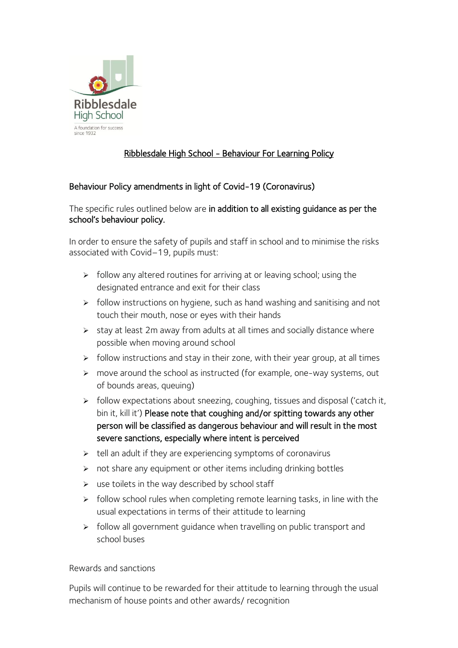

## Ribblesdale High School - Behaviour For Learning Policy

## Behaviour Policy amendments in light of Covid-19 (Coronavirus)

The specific rules outlined below are in addition to all existing guidance as per the school's behaviour policy.

In order to ensure the safety of pupils and staff in school and to minimise the risks associated with Covid–19, pupils must:

- $\triangleright$  follow any altered routines for arriving at or leaving school; using the designated entrance and exit for their class
- ➢ follow instructions on hygiene, such as hand washing and sanitising and not touch their mouth, nose or eyes with their hands
- ➢ stay at least 2m away from adults at all times and socially distance where possible when moving around school
- $\triangleright$  follow instructions and stay in their zone, with their year group, at all times
- ➢ move around the school as instructed (for example, one-way systems, out of bounds areas, queuing)
- ➢ follow expectations about sneezing, coughing, tissues and disposal ('catch it, bin it, kill it') Please note that coughing and/or spitting towards any other person will be classified as dangerous behaviour and will result in the most severe sanctions, especially where intent is perceived
- $\triangleright$  tell an adult if they are experiencing symptoms of coronavirus
- $\triangleright$  not share any equipment or other items including drinking bottles
- $\triangleright$  use toilets in the way described by school staff
- $\triangleright$  follow school rules when completing remote learning tasks, in line with the usual expectations in terms of their attitude to learning
- ➢ follow all government guidance when travelling on public transport and school buses

Rewards and sanctions

Pupils will continue to be rewarded for their attitude to learning through the usual mechanism of house points and other awards/ recognition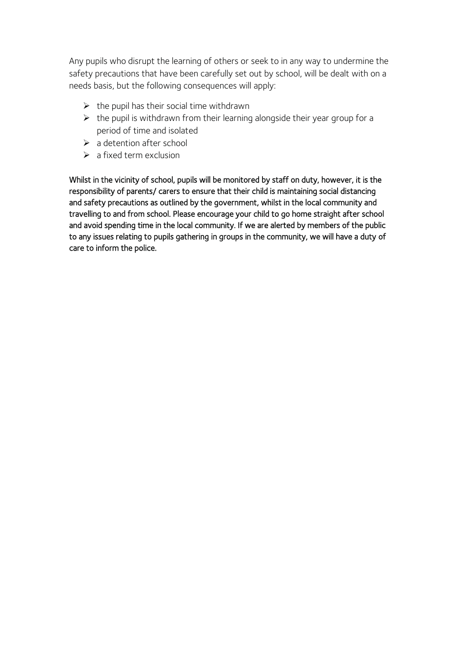Any pupils who disrupt the learning of others or seek to in any way to undermine the safety precautions that have been carefully set out by school, will be dealt with on a needs basis, but the following consequences will apply:

- $\triangleright$  the pupil has their social time withdrawn
- $\triangleright$  the pupil is withdrawn from their learning alongside their year group for a period of time and isolated
- $\triangleright$  a detention after school
- $\triangleright$  a fixed term exclusion

Whilst in the vicinity of school, pupils will be monitored by staff on duty, however, it is the responsibility of parents/ carers to ensure that their child is maintaining social distancing and safety precautions as outlined by the government, whilst in the local community and travelling to and from school. Please encourage your child to go home straight after school and avoid spending time in the local community. If we are alerted by members of the public to any issues relating to pupils gathering in groups in the community, we will have a duty of care to inform the police.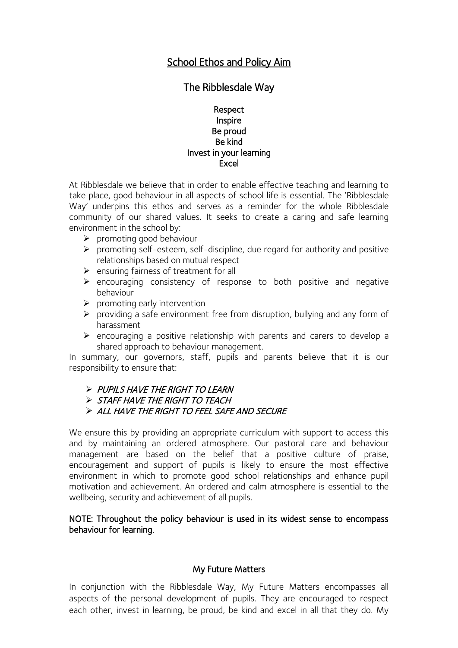## School Ethos and Policy Aim

## The Ribblesdale Way

#### Respect Inspire Be proud Be kind Invest in your learning Excel

At Ribblesdale we believe that in order to enable effective teaching and learning to take place, good behaviour in all aspects of school life is essential. The 'Ribblesdale Way' underpins this ethos and serves as a reminder for the whole Ribblesdale community of our shared values. It seeks to create a caring and safe learning environment in the school by:

- ➢ promoting good behaviour
- ➢ promoting self-esteem, self-discipline, due regard for authority and positive relationships based on mutual respect
- ➢ ensuring fairness of treatment for all
- ➢ encouraging consistency of response to both positive and negative behaviour
- $\triangleright$  promoting early intervention
- ➢ providing a safe environment free from disruption, bullying and any form of harassment
- ➢ encouraging a positive relationship with parents and carers to develop a shared approach to behaviour management.

In summary, our governors, staff, pupils and parents believe that it is our responsibility to ensure that:

#### ➢ PUPILS HAVE THE RIGHT TO LEARN

➢ STAFF HAVE THE RIGHT TO TEACH

#### ➢ ALL HAVE THE RIGHT TO FEEL SAFE AND SECURE

We ensure this by providing an appropriate curriculum with support to access this and by maintaining an ordered atmosphere. Our pastoral care and behaviour management are based on the belief that a positive culture of praise, encouragement and support of pupils is likely to ensure the most effective environment in which to promote good school relationships and enhance pupil motivation and achievement. An ordered and calm atmosphere is essential to the wellbeing, security and achievement of all pupils.

#### NOTE: Throughout the policy behaviour is used in its widest sense to encompass behaviour for learning.

#### My Future Matters

In conjunction with the Ribblesdale Way, My Future Matters encompasses all aspects of the personal development of pupils. They are encouraged to respect each other, invest in learning, be proud, be kind and excel in all that they do. My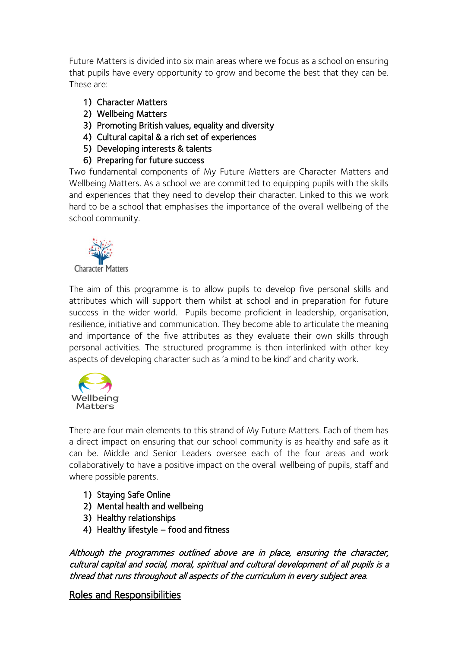Future Matters is divided into six main areas where we focus as a school on ensuring that pupils have every opportunity to grow and become the best that they can be. These are:

- 1) Character Matters
- 2) Wellbeing Matters
- 3) Promoting British values, equality and diversity
- 4) Cultural capital & a rich set of experiences
- 5) Developing interests & talents
- 6) Preparing for future success

Two fundamental components of My Future Matters are Character Matters and Wellbeing Matters. As a school we are committed to equipping pupils with the skills and experiences that they need to develop their character. Linked to this we work hard to be a school that emphasises the importance of the overall wellbeing of the school community.



The aim of this programme is to allow pupils to develop five personal skills and attributes which will support them whilst at school and in preparation for future success in the wider world. Pupils become proficient in leadership, organisation, resilience, initiative and communication. They become able to articulate the meaning and importance of the five attributes as they evaluate their own skills through personal activities. The structured programme is then interlinked with other key aspects of developing character such as 'a mind to be kind' and charity work.



There are four main elements to this strand of My Future Matters. Each of them has a direct impact on ensuring that our school community is as healthy and safe as it can be. Middle and Senior Leaders oversee each of the four areas and work collaboratively to have a positive impact on the overall wellbeing of pupils, staff and where possible parents.

- 1) Staying Safe Online
- 2) Mental health and wellbeing
- 3) Healthy relationships
- 4) Healthy lifestyle food and fitness

Although the programmes outlined above are in place, ensuring the character, cultural capital and social, moral, spiritual and cultural development of all pupils is a thread that runs throughout all aspects of the curriculum in every subject area.

## Roles and Responsibilities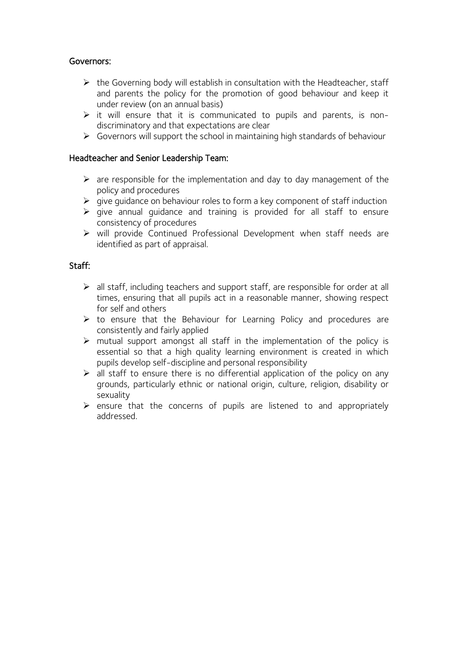## Governors:

- $\triangleright$  the Governing body will establish in consultation with the Headteacher, staff and parents the policy for the promotion of good behaviour and keep it under review (on an annual basis)
- $\triangleright$  it will ensure that it is communicated to pupils and parents, is nondiscriminatory and that expectations are clear
- ➢ Governors will support the school in maintaining high standards of behaviour

## Headteacher and Senior Leadership Team:

- $\triangleright$  are responsible for the implementation and day to day management of the policy and procedures
- $\triangleright$  give guidance on behaviour roles to form a key component of staff induction
- $\triangleright$  give annual guidance and training is provided for all staff to ensure consistency of procedures
- ➢ will provide Continued Professional Development when staff needs are identified as part of appraisal.

## Staff:

- $\triangleright$  all staff, including teachers and support staff, are responsible for order at all times, ensuring that all pupils act in a reasonable manner, showing respect for self and others
- ➢ to ensure that the Behaviour for Learning Policy and procedures are consistently and fairly applied
- $\triangleright$  mutual support amongst all staff in the implementation of the policy is essential so that a high quality learning environment is created in which pupils develop self-discipline and personal responsibility
- ➢ all staff to ensure there is no differential application of the policy on any grounds, particularly ethnic or national origin, culture, religion, disability or sexuality
- $\triangleright$  ensure that the concerns of pupils are listened to and appropriately addressed.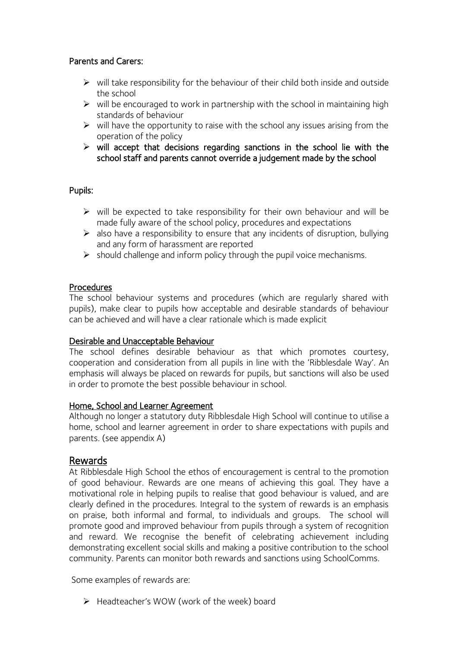## Parents and Carers:

- $\triangleright$  will take responsibility for the behaviour of their child both inside and outside the school
- $\triangleright$  will be encouraged to work in partnership with the school in maintaining high standards of behaviour
- $\triangleright$  will have the opportunity to raise with the school any issues arising from the operation of the policy
- $\triangleright$  will accept that decisions regarding sanctions in the school lie with the school staff and parents cannot override a judgement made by the school

#### Pupils:

- $\triangleright$  will be expected to take responsibility for their own behaviour and will be made fully aware of the school policy, procedures and expectations
- ➢ also have a responsibility to ensure that any incidents of disruption, bullying and any form of harassment are reported
- $\triangleright$  should challenge and inform policy through the pupil voice mechanisms.

#### Procedures

The school behaviour systems and procedures (which are regularly shared with pupils), make clear to pupils how acceptable and desirable standards of behaviour can be achieved and will have a clear rationale which is made explicit

#### Desirable and Unacceptable Behaviour

The school defines desirable behaviour as that which promotes courtesy, cooperation and consideration from all pupils in line with the 'Ribblesdale Way'. An emphasis will always be placed on rewards for pupils, but sanctions will also be used in order to promote the best possible behaviour in school.

#### Home, School and Learner Agreement

Although no longer a statutory duty Ribblesdale High School will continue to utilise a home, school and learner agreement in order to share expectations with pupils and parents. (see appendix A)

#### Rewards

At Ribblesdale High School the ethos of encouragement is central to the promotion of good behaviour. Rewards are one means of achieving this goal. They have a motivational role in helping pupils to realise that good behaviour is valued, and are clearly defined in the procedures. Integral to the system of rewards is an emphasis on praise, both informal and formal, to individuals and groups. The school will promote good and improved behaviour from pupils through a system of recognition and reward. We recognise the benefit of celebrating achievement including demonstrating excellent social skills and making a positive contribution to the school community. Parents can monitor both rewards and sanctions using SchoolComms.

Some examples of rewards are:

➢ Headteacher's WOW (work of the week) board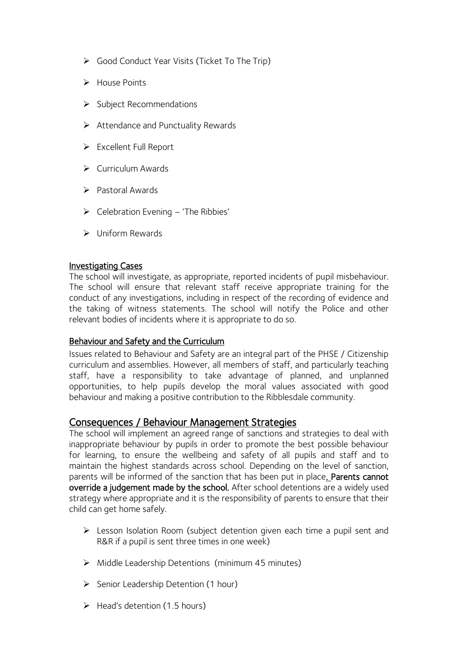- ➢ Good Conduct Year Visits (Ticket To The Trip)
- ➢ House Points
- ➢ Subject Recommendations
- ➢ Attendance and Punctuality Rewards
- ➢ Excellent Full Report
- ➢ Curriculum Awards
- ➢ Pastoral Awards
- ➢ Celebration Evening 'The Ribbies'
- ➢ Uniform Rewards

## Investigating Cases

The school will investigate, as appropriate, reported incidents of pupil misbehaviour. The school will ensure that relevant staff receive appropriate training for the conduct of any investigations, including in respect of the recording of evidence and the taking of witness statements. The school will notify the Police and other relevant bodies of incidents where it is appropriate to do so.

#### Behaviour and Safety and the Curriculum

Issues related to Behaviour and Safety are an integral part of the PHSE / Citizenship curriculum and assemblies. However, all members of staff, and particularly teaching staff, have a responsibility to take advantage of planned, and unplanned opportunities, to help pupils develop the moral values associated with good behaviour and making a positive contribution to the Ribblesdale community.

## Consequences / Behaviour Management Strategies

The school will implement an agreed range of sanctions and strategies to deal with inappropriate behaviour by pupils in order to promote the best possible behaviour for learning, to ensure the wellbeing and safety of all pupils and staff and to maintain the highest standards across school. Depending on the level of sanction, parents will be informed of the sanction that has been put in place. Parents cannot override a judgement made by the school. After school detentions are a widely used strategy where appropriate and it is the responsibility of parents to ensure that their child can get home safely.

- ➢ Lesson Isolation Room (subject detention given each time a pupil sent and R&R if a pupil is sent three times in one week)
- ➢ Middle Leadership Detentions (minimum 45 minutes)
- ➢ Senior Leadership Detention (1 hour)
- $\triangleright$  Head's detention (1.5 hours)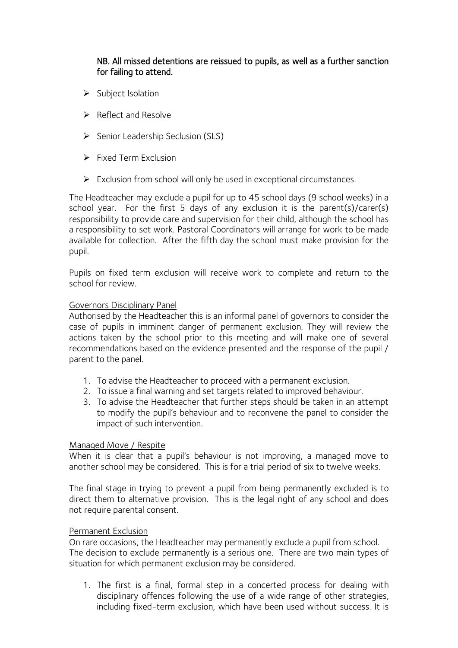## NB. All missed detentions are reissued to pupils, as well as a further sanction for failing to attend.

- ➢ Subject Isolation
- ➢ Reflect and Resolve
- ➢ Senior Leadership Seclusion (SLS)
- $\triangleright$  Fixed Term Exclusion
- ➢ Exclusion from school will only be used in exceptional circumstances.

The Headteacher may exclude a pupil for up to 45 school days (9 school weeks) in a school year. For the first 5 days of any exclusion it is the parent(s)/carer(s) responsibility to provide care and supervision for their child, although the school has a responsibility to set work. Pastoral Coordinators will arrange for work to be made available for collection. After the fifth day the school must make provision for the pupil.

Pupils on fixed term exclusion will receive work to complete and return to the school for review.

#### Governors Disciplinary Panel

Authorised by the Headteacher this is an informal panel of governors to consider the case of pupils in imminent danger of permanent exclusion. They will review the actions taken by the school prior to this meeting and will make one of several recommendations based on the evidence presented and the response of the pupil / parent to the panel.

- 1. To advise the Headteacher to proceed with a permanent exclusion.
- 2. To issue a final warning and set targets related to improved behaviour.
- 3. To advise the Headteacher that further steps should be taken in an attempt to modify the pupil's behaviour and to reconvene the panel to consider the impact of such intervention.

#### Managed Move / Respite

When it is clear that a pupil's behaviour is not improving, a managed move to another school may be considered. This is for a trial period of six to twelve weeks.

The final stage in trying to prevent a pupil from being permanently excluded is to direct them to alternative provision. This is the legal right of any school and does not require parental consent.

#### Permanent Exclusion

On rare occasions, the Headteacher may permanently exclude a pupil from school. The decision to exclude permanently is a serious one. There are two main types of situation for which permanent exclusion may be considered.

1. The first is a final, formal step in a concerted process for dealing with disciplinary offences following the use of a wide range of other strategies, including fixed-term exclusion, which have been used without success. It is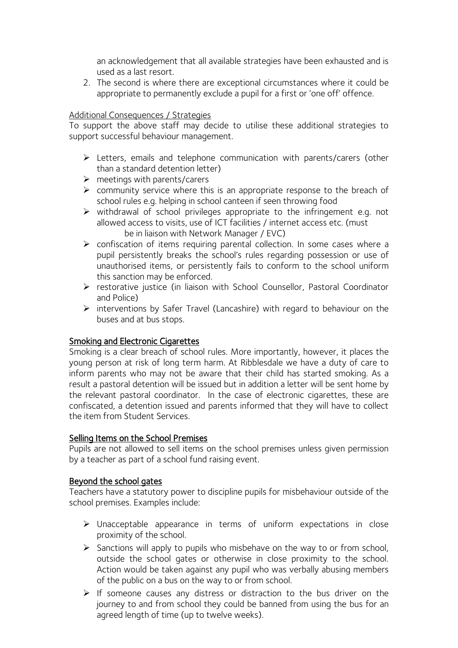an acknowledgement that all available strategies have been exhausted and is used as a last resort.

2. The second is where there are exceptional circumstances where it could be appropriate to permanently exclude a pupil for a first or 'one off' offence.

## Additional Consequences / Strategies

To support the above staff may decide to utilise these additional strategies to support successful behaviour management.

- ➢ Letters, emails and telephone communication with parents/carers (other than a standard detention letter)
- $\triangleright$  meetings with parents/carers
- ➢ community service where this is an appropriate response to the breach of school rules e.g. helping in school canteen if seen throwing food
- ➢ withdrawal of school privileges appropriate to the infringement e.g. not allowed access to visits, use of ICT facilities / internet access etc. (must be in liaison with Network Manager / EVC)
- ➢ confiscation of items requiring parental collection. In some cases where a pupil persistently breaks the school's rules regarding possession or use of unauthorised items, or persistently fails to conform to the school uniform this sanction may be enforced.
- ➢ restorative justice (in liaison with School Counsellor, Pastoral Coordinator and Police)
- ➢ interventions by Safer Travel (Lancashire) with regard to behaviour on the buses and at bus stops.

#### Smoking and Electronic Cigarettes

Smoking is a clear breach of school rules. More importantly, however, it places the young person at risk of long term harm. At Ribblesdale we have a duty of care to inform parents who may not be aware that their child has started smoking. As a result a pastoral detention will be issued but in addition a letter will be sent home by the relevant pastoral coordinator. In the case of electronic cigarettes, these are confiscated, a detention issued and parents informed that they will have to collect the item from Student Services.

#### Selling Items on the School Premises

Pupils are not allowed to sell items on the school premises unless given permission by a teacher as part of a school fund raising event.

#### Beyond the school gates

Teachers have a statutory power to discipline pupils for misbehaviour outside of the school premises. Examples include:

- ➢ Unacceptable appearance in terms of uniform expectations in close proximity of the school.
- ➢ Sanctions will apply to pupils who misbehave on the way to or from school, outside the school gates or otherwise in close proximity to the school. Action would be taken against any pupil who was verbally abusing members of the public on a bus on the way to or from school.
- ➢ If someone causes any distress or distraction to the bus driver on the journey to and from school they could be banned from using the bus for an agreed length of time (up to twelve weeks).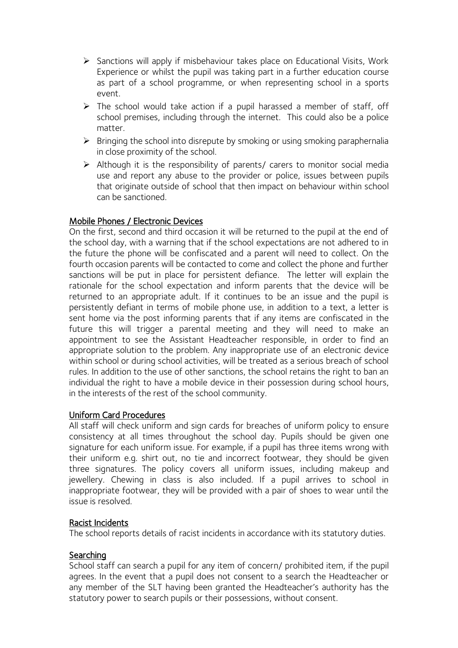- ➢ Sanctions will apply if misbehaviour takes place on Educational Visits, Work Experience or whilst the pupil was taking part in a further education course as part of a school programme, or when representing school in a sports event.
- ➢ The school would take action if a pupil harassed a member of staff, off school premises, including through the internet. This could also be a police matter.
- $\triangleright$  Bringing the school into disrepute by smoking or using smoking paraphernalia in close proximity of the school.
- ➢ Although it is the responsibility of parents/ carers to monitor social media use and report any abuse to the provider or police, issues between pupils that originate outside of school that then impact on behaviour within school can be sanctioned.

## Mobile Phones / Electronic Devices

On the first, second and third occasion it will be returned to the pupil at the end of the school day, with a warning that if the school expectations are not adhered to in the future the phone will be confiscated and a parent will need to collect. On the fourth occasion parents will be contacted to come and collect the phone and further sanctions will be put in place for persistent defiance. The letter will explain the rationale for the school expectation and inform parents that the device will be returned to an appropriate adult. If it continues to be an issue and the pupil is persistently defiant in terms of mobile phone use, in addition to a text, a letter is sent home via the post informing parents that if any items are confiscated in the future this will trigger a parental meeting and they will need to make an appointment to see the Assistant Headteacher responsible, in order to find an appropriate solution to the problem. Any inappropriate use of an electronic device within school or during school activities, will be treated as a serious breach of school rules. In addition to the use of other sanctions, the school retains the right to ban an individual the right to have a mobile device in their possession during school hours, in the interests of the rest of the school community.

#### Uniform Card Procedures

All staff will check uniform and sign cards for breaches of uniform policy to ensure consistency at all times throughout the school day. Pupils should be given one signature for each uniform issue. For example, if a pupil has three items wrong with their uniform e.g. shirt out, no tie and incorrect footwear, they should be given three signatures. The policy covers all uniform issues, including makeup and jewellery. Chewing in class is also included. If a pupil arrives to school in inappropriate footwear, they will be provided with a pair of shoes to wear until the issue is resolved.

#### Racist Incidents

The school reports details of racist incidents in accordance with its statutory duties.

#### **Searching**

School staff can search a pupil for any item of concern/ prohibited item, if the pupil agrees. In the event that a pupil does not consent to a search the Headteacher or any member of the SLT having been granted the Headteacher's authority has the statutory power to search pupils or their possessions, without consent.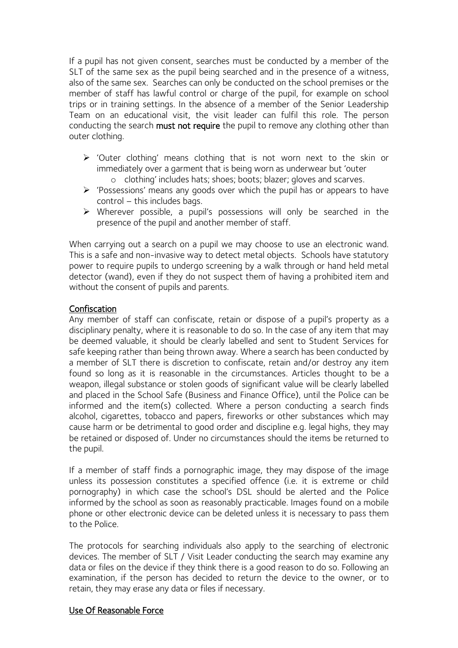If a pupil has not given consent, searches must be conducted by a member of the SLT of the same sex as the pupil being searched and in the presence of a witness, also of the same sex. Searches can only be conducted on the school premises or the member of staff has lawful control or charge of the pupil, for example on school trips or in training settings. In the absence of a member of the Senior Leadership Team on an educational visit, the visit leader can fulfil this role. The person conducting the search must not require the pupil to remove any clothing other than outer clothing.

- ➢ 'Outer clothing' means clothing that is not worn next to the skin or immediately over a garment that is being worn as underwear but 'outer o clothing' includes hats; shoes; boots; blazer; gloves and scarves.
- ➢ 'Possessions' means any goods over which the pupil has or appears to have control – this includes bags.
- ➢ Wherever possible, a pupil's possessions will only be searched in the presence of the pupil and another member of staff.

When carrying out a search on a pupil we may choose to use an electronic wand. This is a safe and non-invasive way to detect metal objects. Schools have statutory power to require pupils to undergo screening by a walk through or hand held metal detector (wand), even if they do not suspect them of having a prohibited item and without the consent of pupils and parents.

#### Confiscation

Any member of staff can confiscate, retain or dispose of a pupil's property as a disciplinary penalty, where it is reasonable to do so. In the case of any item that may be deemed valuable, it should be clearly labelled and sent to Student Services for safe keeping rather than being thrown away. Where a search has been conducted by a member of SLT there is discretion to confiscate, retain and/or destroy any item found so long as it is reasonable in the circumstances. Articles thought to be a weapon, illegal substance or stolen goods of significant value will be clearly labelled and placed in the School Safe (Business and Finance Office), until the Police can be informed and the item(s) collected. Where a person conducting a search finds alcohol, cigarettes, tobacco and papers, fireworks or other substances which may cause harm or be detrimental to good order and discipline e.g. legal highs, they may be retained or disposed of. Under no circumstances should the items be returned to the pupil.

If a member of staff finds a pornographic image, they may dispose of the image unless its possession constitutes a specified offence (i.e. it is extreme or child pornography) in which case the school's DSL should be alerted and the Police informed by the school as soon as reasonably practicable. Images found on a mobile phone or other electronic device can be deleted unless it is necessary to pass them to the Police.

The protocols for searching individuals also apply to the searching of electronic devices. The member of SLT / Visit Leader conducting the search may examine any data or files on the device if they think there is a good reason to do so. Following an examination, if the person has decided to return the device to the owner, or to retain, they may erase any data or files if necessary.

#### Use Of Reasonable Force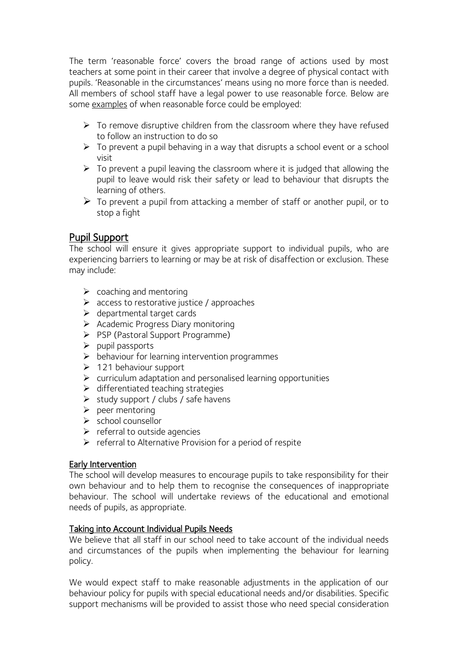The term 'reasonable force' covers the broad range of actions used by most teachers at some point in their career that involve a degree of physical contact with pupils. 'Reasonable in the circumstances' means using no more force than is needed. All members of school staff have a legal power to use reasonable force. Below are some examples of when reasonable force could be employed:

- $\triangleright$  To remove disruptive children from the classroom where they have refused to follow an instruction to do so
- ➢ To prevent a pupil behaving in a way that disrupts a school event or a school visit
- $\triangleright$  To prevent a pupil leaving the classroom where it is judged that allowing the pupil to leave would risk their safety or lead to behaviour that disrupts the learning of others.
- $\triangleright$  To prevent a pupil from attacking a member of staff or another pupil, or to stop a fight

## Pupil Support

The school will ensure it gives appropriate support to individual pupils, who are experiencing barriers to learning or may be at risk of disaffection or exclusion. These may include:

- $\triangleright$  coaching and mentoring
- ➢ access to restorative justice / approaches
- ➢ departmental target cards
- ➢ Academic Progress Diary monitoring
- ➢ PSP (Pastoral Support Programme)
- ➢ pupil passports
- ➢ behaviour for learning intervention programmes
- $\geq 121$  behaviour support
- $\triangleright$  curriculum adaptation and personalised learning opportunities
- ➢ differentiated teaching strategies
- $\triangleright$  study support / clubs / safe havens
- $\triangleright$  peer mentoring
- $\triangleright$  school counsellor
- $\triangleright$  referral to outside agencies
- $\triangleright$  referral to Alternative Provision for a period of respite

## Early Intervention

The school will develop measures to encourage pupils to take responsibility for their own behaviour and to help them to recognise the consequences of inappropriate behaviour. The school will undertake reviews of the educational and emotional needs of pupils, as appropriate.

#### Taking into Account Individual Pupils Needs

We believe that all staff in our school need to take account of the individual needs and circumstances of the pupils when implementing the behaviour for learning policy.

We would expect staff to make reasonable adjustments in the application of our behaviour policy for pupils with special educational needs and/or disabilities. Specific support mechanisms will be provided to assist those who need special consideration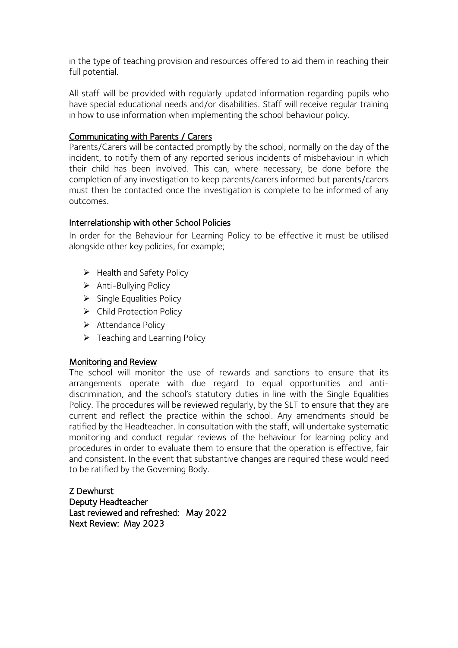in the type of teaching provision and resources offered to aid them in reaching their full potential.

All staff will be provided with regularly updated information regarding pupils who have special educational needs and/or disabilities. Staff will receive regular training in how to use information when implementing the school behaviour policy.

## Communicating with Parents / Carers

Parents/Carers will be contacted promptly by the school, normally on the day of the incident, to notify them of any reported serious incidents of misbehaviour in which their child has been involved. This can, where necessary, be done before the completion of any investigation to keep parents/carers informed but parents/carers must then be contacted once the investigation is complete to be informed of any outcomes.

## Interrelationship with other School Policies

In order for the Behaviour for Learning Policy to be effective it must be utilised alongside other key policies, for example;

- ➢ Health and Safety Policy
- ➢ Anti-Bullying Policy
- ➢ Single Equalities Policy
- ➢ Child Protection Policy
- ➢ Attendance Policy
- $\triangleright$  Teaching and Learning Policy

## Monitoring and Review

The school will monitor the use of rewards and sanctions to ensure that its arrangements operate with due regard to equal opportunities and antidiscrimination, and the school's statutory duties in line with the Single Equalities Policy. The procedures will be reviewed regularly, by the SLT to ensure that they are current and reflect the practice within the school. Any amendments should be ratified by the Headteacher. In consultation with the staff, will undertake systematic monitoring and conduct regular reviews of the behaviour for learning policy and procedures in order to evaluate them to ensure that the operation is effective, fair and consistent. In the event that substantive changes are required these would need to be ratified by the Governing Body.

Z Dewhurst Deputy Headteacher Last reviewed and refreshed: May 2022 Next Review: May 2023